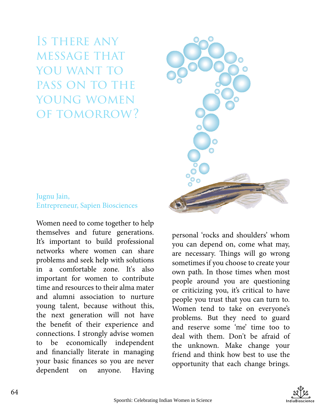Is there any message that YOU WANT TO pass on to the young women of tomorrow?

#### Jugnu Jain, Entrepreneur, Sapien Biosciences

Women need to come together to help themselves and future generations. It's important to build professional networks where women can share problems and seek help with solutions in a comfortable zone. It's also important for women to contribute time and resources to their alma mater and alumni association to nurture young talent, because without this, the next generation will not have the benefit of their experience and connections. I strongly advise women to be economically independent and financially literate in managing your basic finances so you are never dependent on anyone. Having

personal 'rocks and shoulders' whom you can depend on, come what may, are necessary. Things will go wrong sometimes if you choose to create your own path. In those times when most people around you are questioning or criticizing you, it's critical to have people you trust that you can turn to. Women tend to take on everyone's problems. But they need to guard and reserve some 'me' time too to deal with them. Don't be afraid of the unknown. Make change your friend and think how best to use the opportunity that each change brings.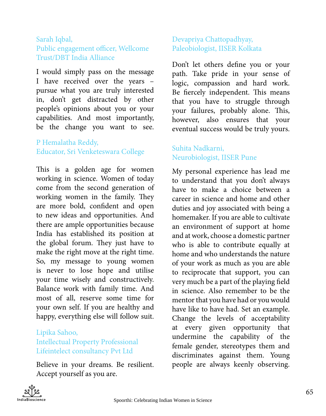#### Sarah Iqbal, Public engagement officer, Wellcome Trust/DBT India Alliance

I would simply pass on the message I have received over the years – pursue what you are truly interested in, don't get distracted by other people's opinions about you or your capabilities. And most importantly, be the change you want to see.

# P Hemalatha Reddy, Educator, Sri Venketeswara College

This is a golden age for women working in science. Women of today come from the second generation of working women in the family. They are more bold, confident and open to new ideas and opportunities. And there are ample opportunities because India has established its position at the global forum. They just have to make the right move at the right time. So, my message to young women is never to lose hope and utilise your time wisely and constructively. Balance work with family time. And most of all, reserve some time for your own self. If you are healthy and happy, everything else will follow suit.

# Lipika Sahoo, Intellectual Property Professional Lifeintelect consultancy Pvt Ltd

Believe in your dreams. Be resilient. Accept yourself as you are.

# Devapriya Chattopadhyay, Paleobiologist, IISER Kolkata

Don't let others define you or your path. Take pride in your sense of logic, compassion and hard work. Be fiercely independent. This means that you have to struggle through your failures, probably alone. This, however, also ensures that your eventual success would be truly yours.

# Suhita Nadkarni, Neurobiologist, IISER Pune

My personal experience has lead me to understand that you don't always have to make a choice between a career in science and home and other duties and joy associated with being a homemaker. If you are able to cultivate an environment of support at home and at work, choose a domestic partner who is able to contribute equally at home and who understands the nature of your work as much as you are able to reciprocate that support, you can very much be a part of the playing field in science. Also remember to be the mentor that you have had or you would have like to have had. Set an example. Change the levels of acceptability at every given opportunity that undermine the capability of the female gender, stereotypes them and discriminates against them. Young people are always keenly observing.

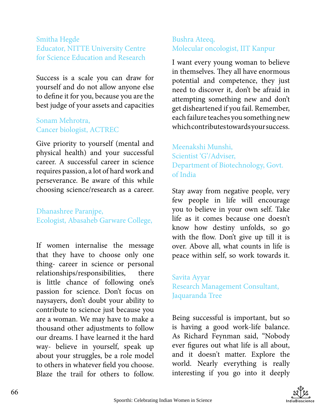#### Smitha Hegde Educator, NITTE University Centre for Science Education and Research

Success is a scale you can draw for yourself and do not allow anyone else to define it for you, because you are the best judge of your assets and capacities

#### Sonam Mehrotra, Cancer biologist, ACTREC

Give priority to yourself (mental and physical health) and your successful career. A successful career in science requires passion, a lot of hard work and perseverance. Be aware of this while choosing science/research as a career.

# Dhanashree Paranjpe, Ecologist, Abasaheb Garware College,

If women internalise the message that they have to choose only one thing- career in science or personal relationships/responsibilities, there is little chance of following one's passion for science. Don't focus on naysayers, don't doubt your ability to contribute to science just because you are a woman. We may have to make a thousand other adjustments to follow our dreams. I have learned it the hard way- believe in yourself, speak up about your struggles, be a role model to others in whatever field you choose. Blaze the trail for others to follow.

#### Bushra Ateeq, Molecular oncologist, IIT Kanpur

I want every young woman to believe in themselves. They all have enormous potential and competence, they just need to discover it, don't be afraid in attempting something new and don't get disheartened if you fail. Remember, each failure teaches you something new which contributes towards your success.

Meenakshi Munshi, Scientist 'G'/Adviser, Department of Biotechnology, Govt. of India

Stay away from negative people, very few people in life will encourage you to believe in your own self. Take life as it comes because one doesn't know how destiny unfolds, so go with the flow. Don't give up till it is over. Above all, what counts in life is peace within self, so work towards it.

Savita Ayyar Research Management Consultant, Jaquaranda Tree

Being successful is important, but so is having a good work-life balance. As Richard Feynman said, "Nobody ever figures out what life is all about, and it doesn't matter. Explore the world. Nearly everything is really interesting if you go into it deeply

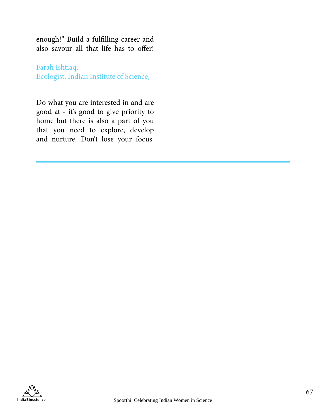enough!" Build a fulfilling career and also savour all that life has to offer!

Farah Ishtiaq, Ecologist, Indian Institute of Science,

Do what you are interested in and are good at - it's good to give priority to home but there is also a part of you that you need to explore, develop and nurture. Don't lose your focus.

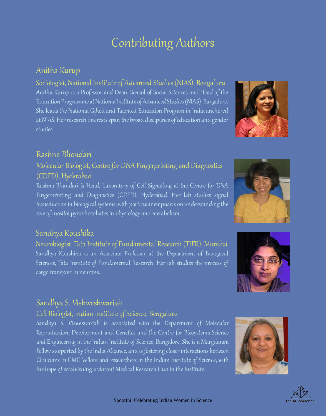# Contributing Authors

# Anitha Kurup

Sociologist, National Institute of Advanced Studies (NIAS), Bengaluru Anitha Kurup is a Professor and Dean, School of Social Sciences and Head of the Education Programme at National Institute of Advanced Studies (NIAS), Bangalore. She leads the National Gifted and Talented Education Program in India anchored at NIAS. Her research interests span the broad disciplines of education and gender studies.



# Rashna Bhandari

# Molecular Biologist, Centre for DNA Fingerprinting and Diagnostics (CDFD), Hyderabad

Rashna Bhandari is Head, Laboratory of Cell Signalling at the Centre for DNA Fingerprinting and Diagnostics (CDFD), Hyderabad. Her lab studies signal transduction in biological systems, with particular emphasis on understanding the role of inositol pyrophosphates in physiology and metabolism.

# Sandhya Koushika

Neurobiogist, Tata Institute of Fundamental Research (TIFR), Mumbai Sandhya Koushika is an Associate Professor at the Department of Biological Sciences, Tata Institute of Fundamental Research. Her lab studies the process of cargo transport in neurons.

# Sandhya S. Vishweshwariah

#### Cell Biologist, Indian Institute of Science, Bengaluru

Sandhya S. Visweswariah is associated with the Department of Molecular Reproduction, Development and Genetics and the Centre for Biosystems Science and Engineering in the Indian Institute of Science, Bangalore. She is a Margdarshi Fellow supported by the India Alliance, and is fostering closer interactions between Clinicians in CMC Vellore and researchers in the Indian Institute of Science, with the hope of establishing a vibrant Medical Research Hub in the Institute.